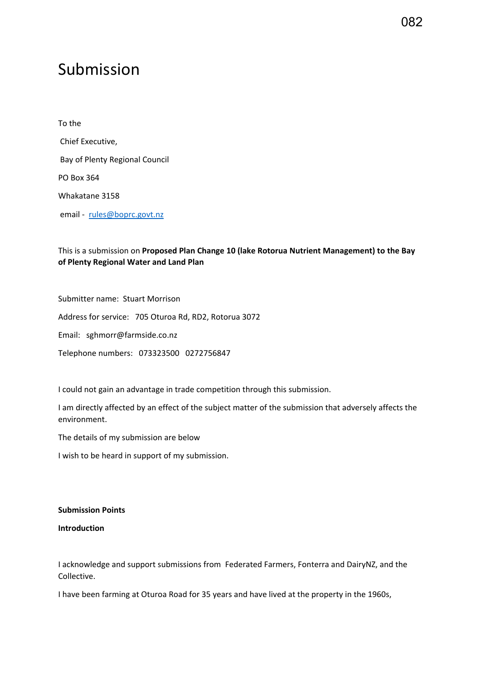## Submission

To the Chief Executive, Bay of Plenty Regional Council PO Box 364 Whakatane 3158 email - [rules@boprc.govt.nz](mailto:rules@boprc.govt.nz)

## This is a submission on **Proposed Plan Change 10 (lake Rotorua Nutrient Management) to the Bay of Plenty Regional Water and Land Plan**

Submitter name: Stuart Morrison

Address for service: 705 Oturoa Rd, RD2, Rotorua 3072

Email: sghmorr@farmside.co.nz

Telephone numbers: 073323500 0272756847

I could not gain an advantage in trade competition through this submission.

I am directly affected by an effect of the subject matter of the submission that adversely affects the environment.

The details of my submission are below

I wish to be heard in support of my submission.

**Submission Points** 

**Introduction** 

I acknowledge and support submissions from Federated Farmers, Fonterra and DairyNZ, and the Collective.

I have been farming at Oturoa Road for 35 years and have lived at the property in the 1960s,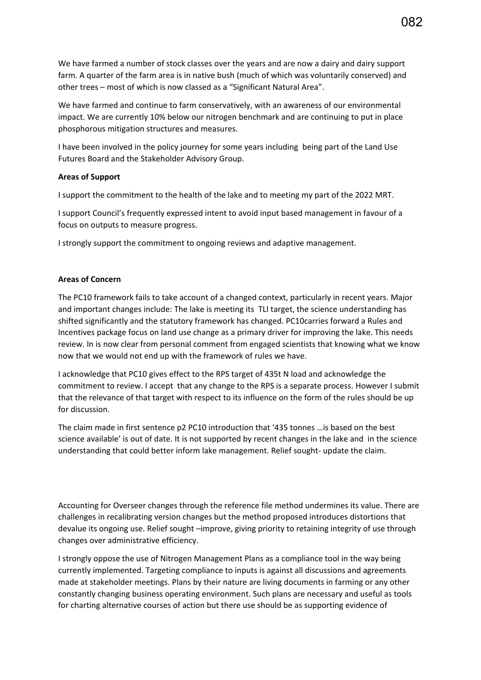We have farmed a number of stock classes over the years and are now a dairy and dairy support farm. A quarter of the farm area is in native bush (much of which was voluntarily conserved) and other trees – most of which is now classed as a "Significant Natural Area".

We have farmed and continue to farm conservatively, with an awareness of our environmental impact. We are currently 10% below our nitrogen benchmark and are continuing to put in place phosphorous mitigation structures and measures.

I have been involved in the policy journey for some years including being part of the Land Use Futures Board and the Stakeholder Advisory Group.

## **Areas of Support**

I support the commitment to the health of the lake and to meeting my part of the 2022 MRT.

I support Council's frequently expressed intent to avoid input based management in favour of a focus on outputs to measure progress.

I strongly support the commitment to ongoing reviews and adaptive management.

## **Areas of Concern**

The PC10 framework fails to take account of a changed context, particularly in recent years. Major and important changes include: The lake is meeting its TLI target, the science understanding has shifted significantly and the statutory framework has changed. PC10carries forward a Rules and Incentives package focus on land use change as a primary driver for improving the lake. This needs review. In is now clear from personal comment from engaged scientists that knowing what we know now that we would not end up with the framework of rules we have.

I acknowledge that PC10 gives effect to the RPS target of 435t N load and acknowledge the commitment to review. I accept that any change to the RPS is a separate process. However I submit that the relevance of that target with respect to its influence on the form of the rules should be up for discussion.

The claim made in first sentence p2 PC10 introduction that '435 tonnes …is based on the best science available' is out of date. It is not supported by recent changes in the lake and in the science understanding that could better inform lake management. Relief sought- update the claim.

Accounting for Overseer changes through the reference file method undermines its value. There are challenges in recalibrating version changes but the method proposed introduces distortions that devalue its ongoing use. Relief sought –improve, giving priority to retaining integrity of use through changes over administrative efficiency.

I strongly oppose the use of Nitrogen Management Plans as a compliance tool in the way being currently implemented. Targeting compliance to inputs is against all discussions and agreements made at stakeholder meetings. Plans by their nature are living documents in farming or any other constantly changing business operating environment. Such plans are necessary and useful as tools for charting alternative courses of action but there use should be as supporting evidence of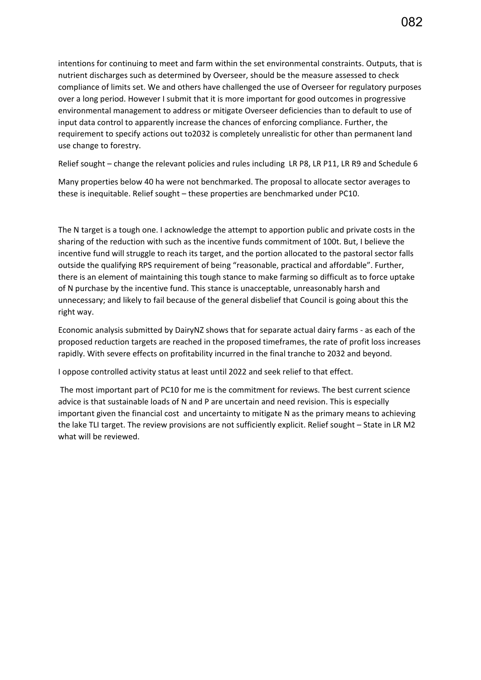intentions for continuing to meet and farm within the set environmental constraints. Outputs, that is nutrient discharges such as determined by Overseer, should be the measure assessed to check compliance of limits set. We and others have challenged the use of Overseer for regulatory purposes over a long period. However I submit that it is more important for good outcomes in progressive environmental management to address or mitigate Overseer deficiencies than to default to use of input data control to apparently increase the chances of enforcing compliance. Further, the requirement to specify actions out to2032 is completely unrealistic for other than permanent land use change to forestry.

Relief sought – change the relevant policies and rules including LR P8, LR P11, LR R9 and Schedule 6

Many properties below 40 ha were not benchmarked. The proposal to allocate sector averages to these is inequitable. Relief sought – these properties are benchmarked under PC10.

The N target is a tough one. I acknowledge the attempt to apportion public and private costs in the sharing of the reduction with such as the incentive funds commitment of 100t. But, I believe the incentive fund will struggle to reach its target, and the portion allocated to the pastoral sector falls outside the qualifying RPS requirement of being "reasonable, practical and affordable". Further, there is an element of maintaining this tough stance to make farming so difficult as to force uptake of N purchase by the incentive fund. This stance is unacceptable, unreasonably harsh and unnecessary; and likely to fail because of the general disbelief that Council is going about this the right way.

Economic analysis submitted by DairyNZ shows that for separate actual dairy farms - as each of the proposed reduction targets are reached in the proposed timeframes, the rate of profit loss increases rapidly. With severe effects on profitability incurred in the final tranche to 2032 and beyond.

I oppose controlled activity status at least until 2022 and seek relief to that effect.

 The most important part of PC10 for me is the commitment for reviews. The best current science advice is that sustainable loads of N and P are uncertain and need revision. This is especially important given the financial cost and uncertainty to mitigate N as the primary means to achieving the lake TLI target. The review provisions are not sufficiently explicit. Relief sought – State in LR M2 what will be reviewed.